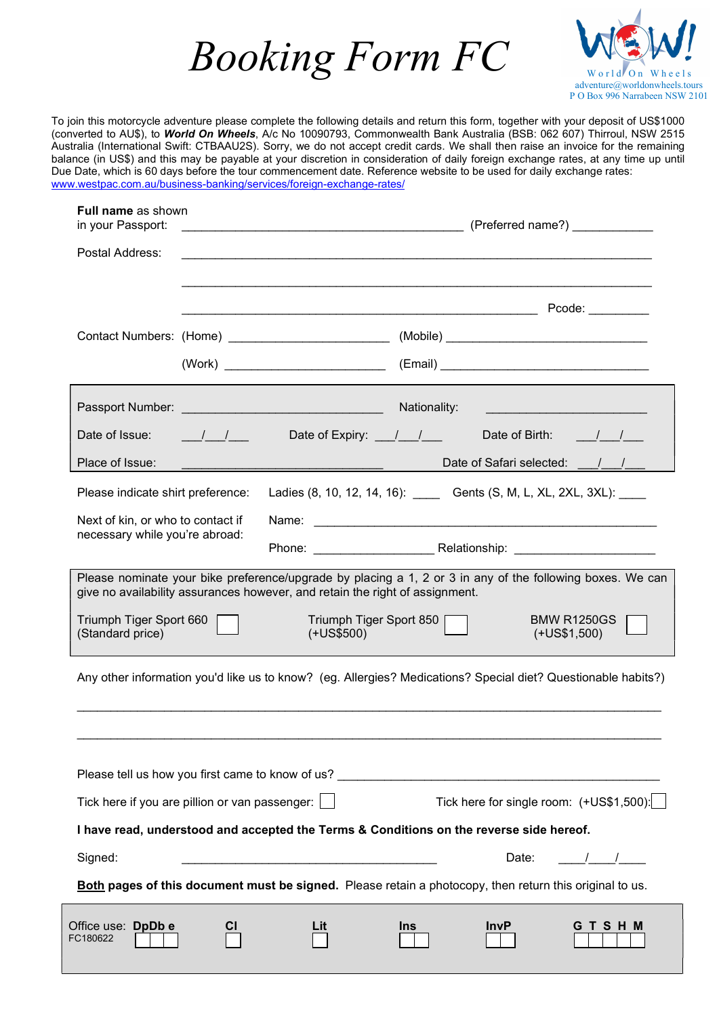



To join this motorcycle adventure please complete the following details and return this form, together with your deposit of US\$1000 (converted to AU\$), to World On Wheels, A/c No 10090793, Commonwealth Bank Australia (BSB: 062 607) Thirroul, NSW 2515 Australia (International Swift: CTBAAU2S). Sorry, we do not accept credit cards. We shall then raise an invoice for the remaining balance (in US\$) and this may be payable at your discretion in consideration of daily foreign exchange rates, at any time up until Due Date, which is 60 days before the tour commencement date. Reference website to be used for daily exchange rates: www.westpac.com.au/business-banking/services/foreign-exchange-rates/

| <b>Full name as shown</b><br>in your Passport:                                                                |  |                                                                                                                       |                           |                                                                                                           |  |  |  |  |
|---------------------------------------------------------------------------------------------------------------|--|-----------------------------------------------------------------------------------------------------------------------|---------------------------|-----------------------------------------------------------------------------------------------------------|--|--|--|--|
| Postal Address:                                                                                               |  |                                                                                                                       |                           |                                                                                                           |  |  |  |  |
|                                                                                                               |  |                                                                                                                       |                           | Pcode: <b>All Products</b>                                                                                |  |  |  |  |
|                                                                                                               |  |                                                                                                                       |                           |                                                                                                           |  |  |  |  |
|                                                                                                               |  |                                                                                                                       |                           |                                                                                                           |  |  |  |  |
|                                                                                                               |  |                                                                                                                       |                           |                                                                                                           |  |  |  |  |
| Date of Issue: $\frac{1}{\sqrt{1-\frac{1}{2}}}$                                                               |  |                                                                                                                       | Date of Expiry: 11        | Date of Birth: / /                                                                                        |  |  |  |  |
| Place of Issue:                                                                                               |  | <u> Alexandro de la contrada de la contrada de la contrada de la contrada de la contrada de la contrada de la con</u> |                           | Date of Safari selected: 1/                                                                               |  |  |  |  |
| Please indicate shirt preference:                                                                             |  |                                                                                                                       |                           | Ladies (8, 10, 12, 14, 16): ______ Gents (S, M, L, XL, 2XL, 3XL): _____                                   |  |  |  |  |
| Next of kin, or who to contact if<br>necessary while you're abroad:                                           |  |                                                                                                                       |                           |                                                                                                           |  |  |  |  |
|                                                                                                               |  |                                                                                                                       |                           |                                                                                                           |  |  |  |  |
|                                                                                                               |  | give no availability assurances however, and retain the right of assignment.                                          |                           | Please nominate your bike preference/upgrade by placing a 1, 2 or 3 in any of the following boxes. We can |  |  |  |  |
| Triumph Tiger Sport 660 [<br>(Standard price)                                                                 |  | $(+U$ S\$500)                                                                                                         | Triumph Tiger Sport 850 [ | <b>BMW R1250GS</b><br>$(+US$1,500)$                                                                       |  |  |  |  |
| Any other information you'd like us to know? (eg. Allergies? Medications? Special diet? Questionable habits?) |  |                                                                                                                       |                           |                                                                                                           |  |  |  |  |
|                                                                                                               |  |                                                                                                                       |                           |                                                                                                           |  |  |  |  |
| Please tell us how you first came to know of us?                                                              |  |                                                                                                                       |                           |                                                                                                           |  |  |  |  |
| Tick here if you are pillion or van passenger:  <br>Tick here for single room: (+US\$1,500):                  |  |                                                                                                                       |                           |                                                                                                           |  |  |  |  |
|                                                                                                               |  |                                                                                                                       |                           | I have read, understood and accepted the Terms & Conditions on the reverse side hereof.                   |  |  |  |  |
| Signed:                                                                                                       |  |                                                                                                                       |                           | Date:<br>$\frac{1}{2}$                                                                                    |  |  |  |  |
|                                                                                                               |  |                                                                                                                       |                           | Both pages of this document must be signed. Please retain a photocopy, then return this original to us.   |  |  |  |  |
| Office use: DpDb e<br>FC180622                                                                                |  | Lit                                                                                                                   | <b>Ins</b>                | <b>InvP</b><br><b>GTSHM</b>                                                                               |  |  |  |  |